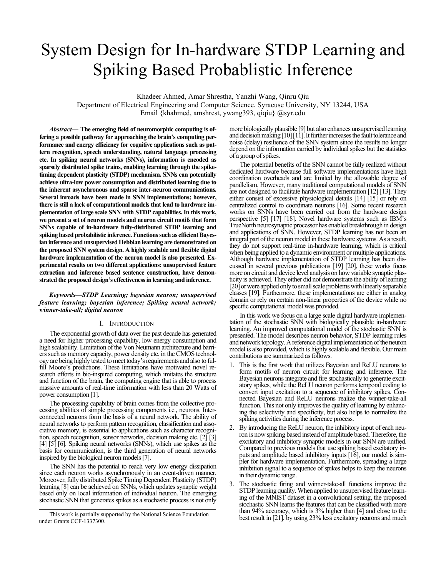# System Design for In-hardware STDP Learning and Spiking Based Probablistic Inference

Khadeer Ahmed, Amar Shrestha, Yanzhi Wang, Qinru Qiu Department of Electrical Engineering and Computer Science, Syracuse University, NY 13244, USA Email {khahmed, amshrest, ywang393, qiqiu} @syr.edu

*Abstract***— The emerging field of neuromorphic computing is offering a possible pathway for approaching the brain's computing performance and energy efficiency for cognitive applications such as pattern recognition, speech understanding, natural language processing etc. In spiking neural networks (SNNs), information is encoded as sparsely distributed spike trains, enabling learning through the spiketiming dependent plasticity (STDP) mechanism. SNNs can potentially achieve ultra-low power consumption and distributed learning due to the inherent asynchronous and sparse inter-neuron communications. Several inroads have been made in SNN implementations; however, there is still a lack of computational models that lead to hardware implementation of large scale SNN with STDP capabilities. In this work, we present a set of neuron models and neuron circuit motifs that form SNNs capable of in-hardware fully-distributed STDP learning and spiking based probabilistic inference. Functions such as efficient Bayesian inference and unsupervised Hebbian learning are demonstrated on the proposed SNN system design. A highly scalable and flexible digital hardware implementation of the neuron model is also presented. Experimental results on two different applications: unsupervised feature extraction and inference based sentence construction, have demonstrated the proposed design's effectiveness in learning and inference.** 

*Keywords—STDP Learning; bayesian neuron; unsupervised feature learning; bayesian inference; Spiking neural network; winner-take-all; digital neuron* 

# I. INTRODUCTION

The exponential growth of data over the past decade has generated a need for higher processing capability, low energy consumption and high scalability. Limitation of the Von Neumann architecture and barriers such as memory capacity, power density etc. in the CMOS technology are being highly tested to meet today's requirements and also to fulfill Moore's predictions. These limitations have motivated novel research efforts in bio-inspired computing, which imitates the structure and function of the brain, the computing engine that is able to process massive amounts of real-time information with less than 20 Watts of power consumption [1].

The processing capability of brain comes from the collective processing abilities of simple processing components i.e., neurons. Interconnected neurons form the basis of a neural network. The ability of neural networks to perform pattern recognition, classification and associative memory, is essential to applications such as character recognition, speech recognition, sensor networks, decision making etc. [2] [3] [4] [5] [6]. Spiking neural networks (SNNs), which use spikes as the basis for communication, is the third generation of neural networks inspired by the biological neuron models [7].

The SNN has the potential to reach very low energy dissipation since each neuron works asynchronously in an event-driven manner. Moreover, fully distributed Spike Timing Dependent Plasticity (STDP) learning [8] can be achieved on SNNs, which updates synaptic weight based only on local information of individual neuron. The emerging stochastic SNN that generates spikes as a stochastic process is not only

more biologically plausible [9] but also enhances unsupervised learning and decision making [10] [11]. It further increases the fault tolerance and noise (delay) resilience of the SNN system since the results no longer depend on the information carried by individual spikes but the statistics of a group of spikes.

The potential benefits of the SNN cannot be fully realized without dedicated hardware because full software implementations have high coordination overheads and are limited by the allowable degree of parallelism. However, many traditional computational models of SNN are not designed to facilitate hardware implementation [12] [13]. They either consist of excessive physiological details [14] [15] or rely on centralized control to coordinate neurons [16]. Some recent research works on SNNs have been carried out from the hardware design perspective [5] [17] [18]. Novel hardware systems such as IBM's TrueNorth neurosynaptic processor has enabled breakthrough in design and applications of SNN. However, STDP learning has not been an integral part of the neuron model in these hardware systems. As a result, they do not support real-time in-hardware learning, which is critical when being applied to a dynamic environment or multiple applications. Although hardware implementation of STDP learning has been discussed in several previous publications [19] [20], these works focus more on circuit and device level analysis on how variable synaptic plasticity is achieved. They either did not demonstrate the ability of learning [20] or were applied only to small scale problems with linearly separable classes [19]. Furthermore, these implementations are either in analog domain or rely on certain non-linear properties of the device while no specific computational model was provided.

In this work we focus on a large scale digital hardware implementation of the stochastic SNN with biologically plausible in-hardware learning. An improved computational model of the stochastic SNN is presented. The model describes neuron behavior, STDP learning rules and network topology. A reference digital implementation of the neuron model is also provided, which is highly scalable and flexible. Our main contributions are summarized as follows.

- 1. This is the first work that utilizes Bayesian and ReLU neurons to form motifs of neuron circuit for learning and inference. The Bayesian neurons integrate and fire stochastically to generate excitatory spikes, while the ReLU neuron performs temporal coding to convert input excitation to a sequence of inhibitory spikes. Connected Bayesian and ReLU neurons realize the winner-take-all function. This not only improves the quality of learning by enhancing the selectivity and specificity, but also helps to normalize the spiking activities during the inference process.
- 2. By introducing the ReLU neuron, the inhibitory input of each neuron is now spiking based instead of amplitude based. Therefore, the excitatory and inhibitory synaptic models in our SNN are unified. Compared to previous models that use spiking based excitatory inputs and amplitude based inhibitory inputs [16], our model is simpler for hardware implementation. Furthermore, spreading a large inhibition signal to a sequence of spikes helps to keep the neurons in their dynamic range.
- 3. The stochastic firing and winner-take-all functions improve the STDP learning quality. When applied to unsupervised feature learning of the MNIST dataset in a convolutional setting, the proposed stochastic SNN learns the features that can be classified with more This work is partially supported by the National Science Foundation<br>
best result in [21], by using 23% less excitatory neurons and much<br>
than 94% accuracy, which is 3% higher than [4] and close to the<br>
best result in [21],

under Grants CCF-1337300.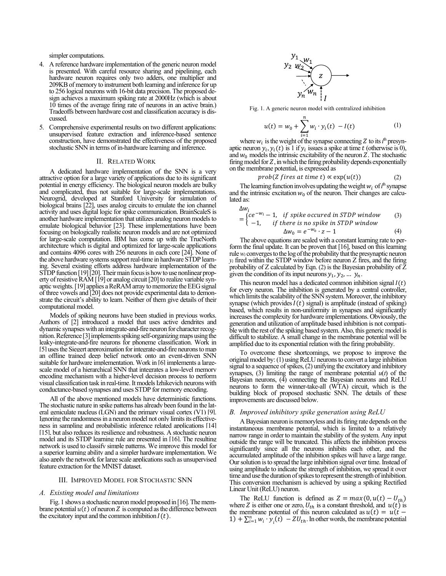simpler computations.

- 4. A reference hardware implementation of the generic neuron model is presented. With careful resource sharing and pipelining, each hardware neuron requires only two adders, one multiplier and 209KB of memory to instrument both learning and inference for up to 256 logical neurons with 16-bit data precision. The proposed design achieves a maximum spiking rate at 2000Hz (which is about 10 times of the average firing rate of neurons in an active brain.) Tradeoffs between hardware cost and classification accuracy is discussed.
- 5. Comprehensive experimental results on two different applications: unsupervised feature extraction and inference-based sentence construction, have demonstrated the effectiveness of the proposed stochastic SNN in terms of in-hardware learning and inference.

### II. RELATED WORK

A dedicated hardware implementation of the SNN is a very attractive option for a large variety of applications due to its significant potential in energy efficiency. The biological neuron models are bulky and complicated, thus not suitable for large-scale implementations. Neurogrid, developed at Stanford University for simulation of biological brains [22], uses analog circuits to emulate the ion channel activity and uses digital logic for spike communication. BrainScaleS is another hardware implementation that utilizes analog neuron models to emulate biological behavior [23]. These implementations have been focusing on biologically realistic neuron models and are not optimized for large-scale computation. IBM has come up with the TrueNorth architecture which is digital and optimized for large-scale applications and contains 4096 cores with 256 neurons in each core [24]. None of the above hardware systems support real-time in hardware STDP learning. Several existing efforts address hardware implementation of the STDP function [19] [20]. Their main focus is how to use nonlinear property of resistive RAM [19] or analog circuit [20] to realize variable synaptic weights. [19] applies a ReRAM array to memorize the EEG signal of three vowels and [20] does not provide experimental data to demonstrate the circuit's ability to learn. Neither of them give details of their computational model.

Models of spiking neurons have been studied in previous works. Authors of [2] introduced a model that uses active dendrites and dynamic synapses with an integrate-and-fire neuron for character recognition. Reference [3] implements spiking self-organizing maps using the leaky-integrate-and-fire neurons for phoneme classification. Work in [5] uses the Siegert approximation for integrate-and-fire neurons to map an offline trained deep belief network onto an event-driven SNN suitable for hardware implementation. Work in [6] implements a largescale model of a hierarchical SNN that integrates a low-level memory encoding mechanism with a higher-level decision process to perform visual classification task in real-time. It models Izhikevich neurons with conductance-based synapses and uses STDP for memory encoding.

All of the above mentioned models have deterministic functions. The stochastic nature in spike patterns has already been found in the lateral geniculate nucleus (LGN) and the primary visual cortex (V1) [9]. Ignoring the randomness in a neuron model not only limits its effectiveness in sampling and probabilistic inference related applications [14] [15], but also reduces its resilience and robustness. A stochastic neuron model and its STDP learning rule are presented in [16]. The resulting network is used to classify simple patterns. We improve this model for a superior learning ability and a simpler hardware implementation. We also apply the network for large scale applications such as unsupervised feature extraction for the MNIST dataset.

## III. IMPROVED MODEL FOR STOCHASTIC SNN

# *A. Existing model and limitations*

Fig. 1 shows a stochastic neuron model proposed in [16]. The membrane potential  $u(t)$  of neuron Z is computed as the difference between the excitatory input and the common inhibition  $I(t)$ .



Fig. 1. A generic neuron model with centralized inhibition

$$
u(t) = w_0 + \sum_{i=1}^{n} w_i \cdot y_i(t) - I(t)
$$
 (1)

where  $w_i$  is the weight of the synapse connecting  $Z$  to its  $i^{\text{th}}$  presynaptic neuron  $y_i$ ,  $y_i(t)$  is 1 if  $y_i$  issues a spike at time t (otherwise is 0), and  $w_0$  models the intrinsic excitability of the neuron  $Z$ . The stochastic firing model for  $Z$ , in which the firing probability depends exponentially on the membrane potential, is expressed as

$$
prob(Z \text{ fires at time } t) \propto \exp(u(t)) \tag{2}
$$

The learning function involves updating the weight  $w_i$  of  $i<sup>th</sup>$  synapse and the intrinsic excitation  $w_0$  of the neuron. Their changes are calculated as:

$$
\Delta w_i =\n\begin{cases}\n\zeta e^{-w_i} - 1, & \text{if spike occurred in STDP window} \\
-1, & \text{if there is no spike in STDP window} \\
\Delta w_0 = e^{-w_0} \cdot z - 1\n\end{cases}\n\tag{4}
$$

The above equations are scaled with a constant learning rate to perform the final update. It can be proven that [16], based on this learning rule *wi* converges to the log of the probability that the presynaptic neuron  $y_i$  fired within the STDP window before neuron  $Z$  fires, and the firing probability of Z calculated by Eqn. (2) is the Bayesian probability of  $\widetilde{Z}$ given the condition of its input neurons  $y_1, y_2, \dots, y_n$ .

This neuron model has a dedicated common inhibition signal  $I(t)$ for every neuron. The inhibition is generated by a central controller, which limits the scalability of the SNN system. Moreover, the inhibitory synapse (which provides  $I(t)$  signal) is amplitude (instead of spiking) based, which results in non-uniformity in synapses and significantly increases the complexity for hardware implementations. Obviously, the generation and utilization of amplitude based inhibition is not compatible with the rest of the spiking based system. Also, this generic model is difficult to stabilize. A small change in the membrane potential will be amplified due to its exponential relation with the firing probability.

To overcome these shortcomings, we propose to improve the original model by: (1) using ReLU neurons to convert a large inhibition signal to a sequence of spikes, (2) unifying the excitatory and inhibitory synapses,  $(3)$  limiting the range of membrane potential  $u(t)$  of the Bayesian neurons,  $(\overline{4})$  connecting the Bayesian neurons and ReLU neurons to form the winner-take-all (WTA) circuit, which is the building block of proposed stochastic SNN. The details of these improvements are discussed below.

# *B. Improved inhibitory spike generation using ReLU*

A Bayesian neuron is memoryless and its firing rate depends on the instantaneous membrane potential, which is limited to a relatively narrow range in order to maintain the stability of the system. Any input outside the range will be truncated. This affects the inhibition process significantly since all the neurons inhibits each other, and the accumulated amplitude of the inhibition spikes will have a large range. Our solution is to spread the large inhibition signal over time. Instead of using amplitude to indicate the strength of inhibition, we spread it over time and use the duration of spikes to represent the strength of inhibition. This conversion mechanism is achieved by using a spiking Rectified Linear Unit (ReLU) neuron.

The ReLU function is defined as  $Z = max(0, u(t) - U_{th})$ where Z is either one or zero,  $U_{th}$  is a constant threshold, and  $u(t)$  is the membrane potential of this neuron calculated as  $u(t) = u(t -$ 1) +  $\sum_{i=1}^{n} w_i \cdot y_i(t) - ZU_{th}$ . In other words, the membrane potential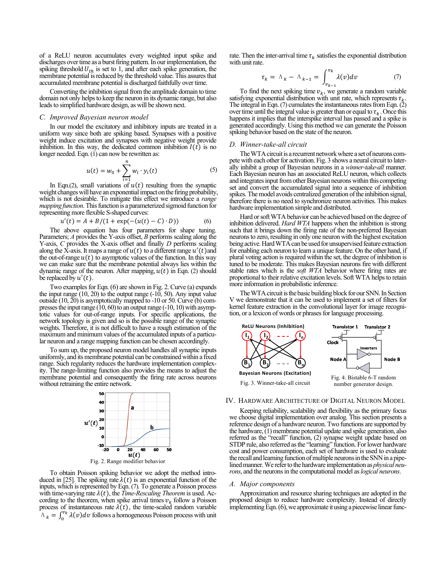of a ReLU neuron accumulates every weighted input spike and discharges over time as a burst firing pattern. In our implementation, the spiking threshold  $U_{th}$  is set to 1, and after each spike generation, the membrane potential is reduced by the threshold value. This assures that accumulated membrane potential is discharged faithfully over time.

Converting the inhibition signal from the amplitude domain to time domain not only helps to keep the neuron in its dynamic range, but also leads to simplified hardware design, as will be shown next.

# *C. Improved Bayesian neuron model*

In our model the excitatory and inhibitory inputs are treated in a uniform way since both are spiking based. Synapses with a positive weight induce excitation and synapses with negative weight provide inhibition. In this way, the dedicated common inhibition  $I(t)$  is no longer needed. Eqn. (1) can now be rewritten as:

$$
u(t) = w_0 + \sum_{i=1}^{n} w_i \cdot y_i(t)
$$
 (5)

In Eqn.(2), small variations of  $u(t)$  resulting from the synaptic weight changes will have an exponential impact on the firing probability, which is not desirable. To mitigate this effect we introduce a *range mapping function*. This function is a parameterized sigmoid function for representing more flexible S-shaped curves:

$$
u'(t) = A + B/(1 + \exp(-(u(t) - C) \cdot D))
$$
 (6)

The above equation has four parameters for shape tuning. Parameters; *A* provides the Y-axis offset, *B* performs scaling along the Y-axis, *C* provides the X-axis offset and finally *D* performs scaling along the X-axis. It maps a range of  $u(t)$  to a different range  $u'(t)$  and the out-of-range  $u(t)$  to asymptotic values of the function. In this way we can make sure that the membrane potential always lies within the dynamic range of the neuron. After mapping,  $u(t)$  in Eqn. (2) should be replaced by  $u'(t)$ .

Two examples for Eqn. (6) are shown in Fig. 2. Curve (a) expands the input range  $(10, 20)$  to the output range  $(-10, 50)$ . Any input value outside (10, 20) is asymptotically mapped to -10 or 50. Curve (b) compresses the input range (10, 60) to an output range (-10, 10) with asymptotic values for out-of-range inputs. For specific applications, the network topology is given and so is the possible range of the synaptic weights. Therefore, it is not difficult to have a rough estimation of the maximum and minimum values of the accumulated inputs of a particular neuron and a range mapping function can be chosen accordingly.

To sum up, the proposed neuron model handles all synaptic inputs uniformly, and its membrane potential can be constrained within a fixed range. Such regularity reduces the hardware implementation complexity. The range-limiting function also provides the means to adjust the membrane potential and consequently the firing rate across neurons without retraining the entire network.



Fig. 2. Range modifier behavior

To obtain Poisson spiking behavior we adopt the method introduced in [25]. The spiking rate  $\lambda(t)$  is an exponential function of the inputs, which is represented by Eqn. (7). To generate a Poisson process with time-varying rate  $\lambda(t)$ , the *Time-Rescaling Theorem* is used. According to the theorem, when spike arrival times  $v_k$  follow a Poisson process of instantaneous rate  $\lambda(t)$ , the time-scaled random variable  $\Lambda_k = \int_0^{\nu_k} \lambda(v) dv$  follows a homogeneous Poisson process with unit rate. Then the inter-arrival time  $\tau_k$  satisfies the exponential distribution with unit rate.

$$
\tau_k = \Lambda_k - \Lambda_{k-1} = \int_{\nu_{k-1}}^{\nu_k} \lambda(\nu) d\nu \tag{7}
$$

To find the next spiking time  $v_k$ , we generate a random variable satisfying exponential distribution with unit rate, which represents  $\tau_k$ .<br>The integral in Eqn. (7) cumulates the instantaneous rates from Eqn. (2) over time until the integral value is greater than or equal to  $\tau_k$ . Once this happens it implies that the interspike interval has passed and a spike is generated accordingly. Using this method we can generate the Poisson spiking behavior based on the state of the neuron.

# *D. Winner-take-all circuit*

The WTA circuit is a recurrent network where a set of neurons compete with each other for activation. Fig. 3 shows a neural circuit to laterally inhibit a group of Bayesian neurons in a *winner-take-all* manner. Each Bayesian neuron has an associated ReLU neuron, which collects and integrates input from other Bayesian neurons within this competing set and convert the accumulated signal into a sequence of inhibition spikes. The model avoids centralized generation of the inhibition signal, therefore there is no need to synchronize neuron activities. This makes hardware implementation simple and distributed.

Hard or soft WTA behavior can be achieved based on the degree of inhibition delivered. *Hard WTA* happens when the inhibition is strong such that it brings down the firing rate of the non-preferred Bayesian neurons to zero, resulting in only one neuron with the highest excitation being active. Hard WTA can be used for unsupervised feature extraction for enabling each neuron to learn a unique feature. On the other hand, if plural voting action is required within the set, the degree of inhibition is tuned to be moderate. This makes Bayesian neurons fire with different stable rates which is the *soft WTA* behavior where firing rates are proportional to their relative excitation levels. Soft WTA helps to retain more information in probabilistic inference.

The WTA circuit is the basic building block for our SNN. In Section V we demonstrate that it can be used to implement a set of filters for kernel feature extraction in the convolutional layer for image recognition, or a lexicon of words or phrases for language processing.



#### IV. HARDWARE ARCHITECTURE OF DIGITAL NEURON MODEL

Keeping reliability, scalability and flexibility as the primary focus we choose digital implementation over analog. This section presents a reference design of a hardware neuron. Two functions are supported by the hardware,  $(1)$  membrane potential update and spike generation, also referred as the "recall" function, (2) synapse weight update based on STDP rule, also referred as the "learning" function. For lower hardware cost and power consumption, each set of hardware is used to evaluate the recall and learning function of multiple neurons in the SNN in a pipelined manner. We refer to the hardware implementation as *physical neu- rons*, and the neurons in the computational model as *logical neurons*.

### *A. Major components*

Approximation and resource sharing techniques are adopted in the proposed design to reduce hardware complexity. Instead of directly implementing Eqn. (6), we approximate it using a piecewise linear func-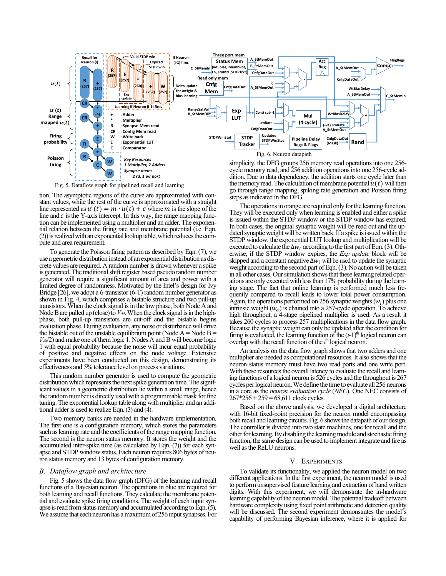

Fig. 5. Dataflow graph for pipelined recall and learning

*2 rd, 1 wr port*

**W**

tion. The asymptotic regions of the curve are approximated with constant values, while the rest of the curve is approximated with a straight line represented as  $u'(t) = m \cdot u(t) + c \overline{u}$  where m is the slope of the line and  $c$  is the Y-axis intercept. In this way, the range mapping function can be implemented using a multiplier and an adder. The exponential relation between the firing rate and membrane potential (i.e. Eqn. (2)) is realized with an exponential lookup table, which reduces the compute and area requirement.

To generate the Poisson firing pattern as described by Eqn. (7), we use a geometric distribution instead of an exponential distribution as discrete values are required. A random number is drawn whenever a spike is generated. The traditional shift register based pseudo random number generator will require a significant amount of area and power with a limited degree of randomness. Motivated by the Intel's design for Ivy Bridge [26], we adopt a 6-transistor (6-T) random number generator as shown in Fig. 4, which comprises a bistable structure and two pull-up transistors. When the clock signal is in the low phase, both Node A and Node B are pulled up (close) to *V<sub>dd</sub>*. When the clock signal is in the highphase, both pull-up transistors are cut-off and the bistable begins evaluation phase. During evaluation, any noise or disturbance will drive the bistable out of the unstable equilibrium point (Node  $A = N$ ode  $B =$ *Vdd*/2) and make one of them logic 1. Nodes A and B will become logic 1 with equal probability because the noise will incur equal probability of positive and negative effects on the node voltage. Extensive experiments have been conducted on this design, demonstrating its effectiveness and 5% tolerance level on process variations.

This random number generator is used to compute the geometric distribution which represents the next spike generation time. The significant values in a geometric distribution lie within a small range, hence the random number is directly used with a programmable mask for fine tuning. The exponential lookup table along with multiplier and an additional adder is used to realize Eqn. (3) and (4).

Two memory banks are needed in the hardware implementation. The first one is a configuration memory, which stores the parameters such as learning rate and the coefficients of the range mapping function. The second is the neuron status memory. It stores the weight and the accumulated inter-spike time (as calculated by Eqn. (7)) for each synapse and STDP window status. Each neuron requires 806 bytes of neuron status memory and 13 bytes of configuration memory.

#### *B. Dataflow graph and architecture*

Fig. 5 shows the data flow graph (DFG) of the learning and recall functions of a Bayesian neuron. The operations in blue are required for both learning and recall functions. They calculate the membrane potential and evaluate spike firing conditions. The weight of each input synapse is read from status memory and accumulated according to Eqn. (5). We assume that each neuron has a maximum of 256 input synapses. For cycle memory read, and 256 addition operations into one 256-cycle addition. Due to data dependency, the addition starts one cycle later than the memory read. The calculation of membrane potential  $u(t)$  will then go through range mapping, spiking rate generation and Poisson firing steps as indicated in the DFG.

The operations in orange are required only for the learning function. They will be executed only when learning is enabled and either a spike is issued within the STDP window or the STDP window has expired. In both cases, the original synaptic weight will be read out and the updated synaptic weight will be written back. If a spike is issued within the STDP window, the exponential LUT lookup and multiplication will be executed to calculate the  $\Delta w_i$  according to the first part of Eqn. (3). Otherwise, if the STDP window expires, the *Exp update* block will be skipped and a constant negative  $\Delta w_i$  will be used to update the synaptic weight according to the second part of Eqn. (3). No action will be taken in all other cases. Our simulation shows that these learning related operations are only executed with less than 17% probability during the learning stage. The fact that online learning is performed much less frequently compared to recall leads to lower total power consumption. Again, the operations performed on 256 synaptic weights  $(w_i)$  plus one intrinsic weight  $(w_0)$  is chained into a 257-cycle operation. To achieve high throughput, a 4-stage pipelined multiplier is used. As a result it takes 260 cycles to process 257 multiplications in the data flow graph. Because the synaptic weight can only be updated after the condition for firing is evaluated, the learning function of the  $(i-1)$ <sup>th</sup> logical neuron can overlap with the recall function of the  $i<sup>th</sup>$  logical neuron.

An analysis on the data flow graph shows that two adders and one multiplier are needed as computational resources. It also shows that the neuron status memory must have two read ports and one write port. With these resources the overall latency to evaluate the recall and learning functions of a logical neuron is 526 cycles and the throughput is 267 cycles per logical neuron. We define the time to evaluate all 256 neurons in a core as the *neuron evaluation cycle* (*NEC*). One NEC consists of  $267*256 + 259 = 68,611$  clock cycles.

Based on the above analysis, we developed a digital architecture with 16-bit fixed-point precision for the neuron model encompassing both recall and learning circuits. Fig. 6 shows the datapath of our design. The controller is divided into two state machines, one for recall and the other for learning. By disabling the learning module and stochastic firing function, the same design can be used to implement integrate and fire as well as the ReLU neurons.

#### V. EXPERIMENTS

To validate its functionality, we applied the neuron model on two different applications. In the first experiment, the neuron model is used to perform unsupervised feature learning and extraction of hand written digits. With this experiment, we will demonstrate the in-hardware learning capability of the neuron model. The potential tradeoff between hardware complexity using fixed point arithmetic and detection quality will be discussed. The second experiment demonstrates the model's capability of performing Bayesian inference, where it is applied for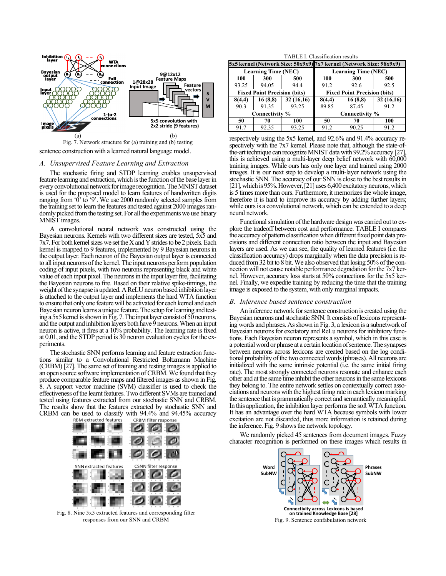

sentence construction with a learned natural language model.

#### *A. Unsupervised Feature Learning and Extraction*

The stochastic firing and STDP learning enables unsupervised feature learning and extraction, which is the function of the base layer in every convolutional network for image recognition. The MNIST dataset is used for the proposed model to learn features of handwritten digits ranging from '0' to '9'. We use 2000 randomly selected samples from the training set to learn the features and tested against 2000 images randomly picked from the testing set. For all the experiments we use binary MNIST images.

A convolutional neural network was constructed using the Bayesian neurons. Kernels with two different sizes are tested, 5x5 and 7x7. For both kernel sizes we set the X and Y strides to be 2 pixels. Each kernel is mapped to 9 features, implemented by 9 Bayesian neurons in the output layer. Each neuron of the Bayesian output layer is connected to all input neurons of the kernel. The input neurons perform population coding of input pixels, with two neurons representing black and white value of each input pixel. The neurons in the input layer fire, facilitating the Bayesian neurons to fire. Based on their relative spike-timings, the weight of the synapse is updated. A ReLU neuron based inhibition layer is attached to the output layer and implements the hard WTA function to ensure that only one feature will be activated for each kernel and each Bayesian neuron learns a unique feature. The setup for learning and testing a 5x5 kernel is shown in Fig. 7. The input layer consist of 50 neurons, and the output and inhibition layers both have 9 neurons. When an input neuron is active, it fires at a 10% probability. The learning rate is fixed at 0.01, and the STDP period is 30 neuron evaluation cycles for the experiments.

The stochastic SNN performs learning and feature extraction functions similar to a Convolutional Restricted Boltzmann Machine (CRBM) [27]. The same set of training and testing images is applied to an open source software implementation of CRBM. We found that they produce comparable feature maps and filtered images as shown in Fig. 8. A support vector machine (SVM) classifier is used to check the effectiveness of the learnt features. Two different SVMs are trained and tested using features extracted from our stochastic SNN and CRBM. The results show that the features extracted by stochastic SNN and CRBM can be used to classify with 94.4% and 94.45% accuracy<br>RBM extracted features CRBM filter response



Fig. 8. Nine 5x5 extracted features and corresponding filter responses from our SNN and CRBM

TABLE I. Classification results

|                                     |         |           | 5x5 kernel (Network Size: 50x9x9) 7x7 kernel (Network Size: 98x9x9) |         |            |
|-------------------------------------|---------|-----------|---------------------------------------------------------------------|---------|------------|
| <b>Learning Time (NEC)</b>          |         |           | <b>Learning Time (NEC)</b>                                          |         |            |
| 100                                 | 300     | 500       | 100                                                                 | 300     | 500        |
| 93.25                               | 94.05   | 94.4      | 91.2                                                                | 92.6    | 92.5       |
| <b>Fixed Point Precision (bits)</b> |         |           | <b>Fixed Point Precision (bits)</b>                                 |         |            |
| 8(4,4)                              | 16(8,8) | 32(16,16) | 8(4,4)                                                              | 16(8,8) | 32 (16,16) |
| 90.3                                | 91.35   | 93.25     | 89.85                                                               | 87.45   | 91.2       |
| Connectivity %                      |         |           | Connectivity %                                                      |         |            |
| 50                                  | 70      | 100       | 50                                                                  | 70      | 100        |
| 91.7                                | 92.35   | 93.25     | 91.2                                                                | 90.25   | 912        |

respectively using the 5x5 kernel, and 92.6% and 91.4% accuracy respectively with the 7x7 kernel. Please note that, although the state-ofthe-art technique can recognize MNIST data with 99.2% accuracy [27], this is achieved using a multi-layer deep belief network with 60,000 training images. While ours has only one layer and trained using 2000 images. It is our next step to develop a multi-layer network using the stochastic SNN. The accuracy of our SNN is close to the best results in [21], which is 95%. However, [21] uses 6,400 excitatory neurons, which is 5 times more than ours. Furthermore, it memorizes the whole image, therefore it is hard to improve its accuracy by adding further layers; while ours is a convolutional network, which can be extended to a deep neural network.

Functional simulation of the hardware design was carried out to explore the tradeoff between cost and performance. TABLE I compares the accuracy of pattern classification when different fixed point data precisions and different connection ratio between the input and Bayesian layers are used. As we can see, the quality of learned features (i.e. the classification accuracy) drops marginally when the data precision is reduced from 32 bit to 8 bit. We also observed that losing 50% of the connection will not cause notable performance degradation for the 7x7 kernel. However, accuracy loss starts at 50% connections for the 5x5 kernel. Finally, we expedite training by reducing the time that the training image is exposed to the system, with only marginal impacts.

#### *B. Inference based sentence construction*

An inference network for sentence construction is created using the Bayesian neurons and stochastic SNN. It consists of lexicons representing words and phrases. As shown in Fig. 3, a lexicon is a subnetwork of Bayesian neurons for excitatory and ReLu neurons for inhibitory functions. Each Bayesian neuron represents a symbol, which in this case is a potential word or phrase at a certain location of sentence. The synapses between neurons across lexicons are created based on the log conditional probability of the two connected words (phrases). All neurons are initialized with the same intrinsic potential (i.e. the same initial firing rate). The most strongly connected neurons resonate and enhance each other and at the same time inhibit the other neurons in the same lexicons they belong to. The entire network settles on contextually correct associations and neurons with the highest firing rate in each lexicon marking the sentence that is grammatically correct and semantically meaningful. In this application, the inhibition layer performs the soft WTA function. It has an advantage over the hard WTA because symbols with lower excitation are not discarded, thus more information is retained during the inference. Fig. 9 shows the network topology.

We randomly picked 45 sentences from document images. Fuzzy character recognition is performed on these images which results in